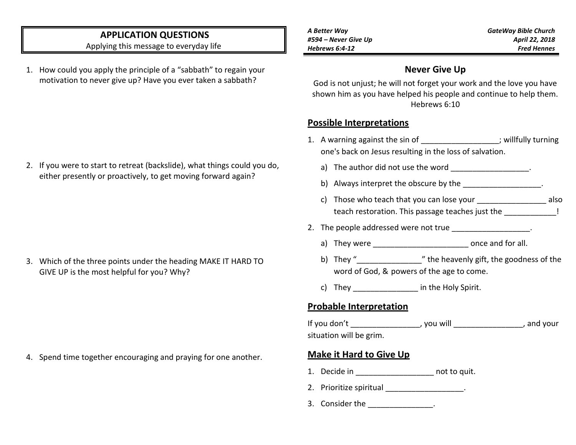# **APPLICATION QUESTIONS**

Applying this message to everyday life

1. How could you apply the principle of a "sabbath" to regain your motivation to never give up? Have you ever taken a sabbath?

2. If you were to start to retreat (backslide), what things could you do, either presently or proactively, to get moving forward again?

3. Which of the three points under the heading MAKE IT HARD TO GIVE UP is the most helpful for you? Why?

4. Spend time together encouraging and praying for one another.

*GateWay Bible Church April 22, 2018 Fred Hennes*

#### **Never Give Up**

God is not unjust; he will not forget your work and the love you have shown him as you have helped his people and continue to help them. Hebrews 6:10

#### **Possible Interpretations**

- 1. A warning against the sin of  $\blacksquare$  ; willfully turning one's back on Jesus resulting in the loss of salvation.
	- a) The author did not use the word and the state of the state of  $\sim$
	- b) Always interpret the obscure by the
	- c) Those who teach that you can lose your \_\_\_\_\_\_\_\_\_\_\_\_\_\_\_\_ also teach restoration. This passage teaches just the \_\_\_\_\_\_\_\_\_\_\_\_!
- 2. The people addressed were not true
	- a) They were \_\_\_\_\_\_\_\_\_\_\_\_\_\_\_\_\_\_\_\_\_\_\_\_\_\_\_\_ once and for all.
	- b) They " we will be the heavenly gift, the goodness of the word of God, & powers of the age to come.
	- c) They in the Holy Spirit.

## **Probable Interpretation**

If you don't all the set of the set of the set of the set of the set of the set of the set of the set of the s situation will be grim.

## **Make it Hard to Give Up**

- 1. Decide in the control of the pair.
- 2. Prioritize spiritual example and the set of the set of the set of the set of the set of the set of the set o
- 3. Consider the \_\_\_\_\_\_\_\_\_\_\_\_\_\_.